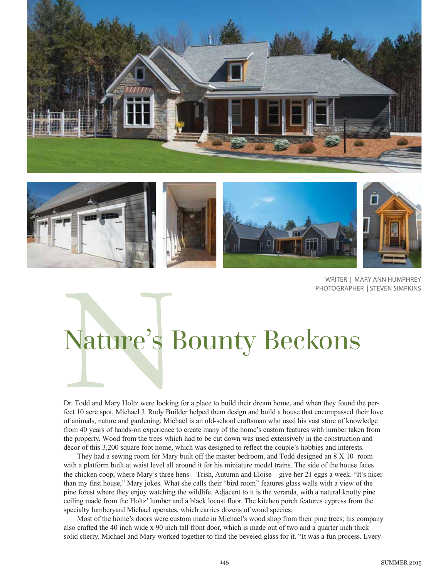



WRITER | MARY ANN HUMPHREY PHOTOGRAPHER | STEVEN SIMPKINS

# Nature's I Nature's Bounty Beckons

Dr. Todd and Mary Holtz were looking for a place to build their dream home, and when they found the perfect 10 acre spot, Michael J. Rudy Builder helped them design and build a house that encompassed their love of animals, nature and gardening. Michael is an old-school craftsman who used his vast store of knowledge from 40 years of hands-on experience to create many of the home's custom features with lumber taken from the property. Wood from the trees which had to be cut down was used extensively in the construction and décor of this 3,200 square foot home, which was designed to reflect the couple's hobbies and interests.

They had a sewing room for Mary built off the master bedroom, and Todd designed an 8 X 10 room with a platform built at waist level all around it for his miniature model trains. The side of the house faces the chicken coop, where Mary's three hens—Trish, Autumn and Eloise – give her 21 eggs a week. "It's nicer than my first house," Mary jokes. What she calls their "bird room" features glass walls with a view of the pine forest where they enjoy watching the wildlife. Adjacent to it is the veranda, with a natural knotty pine ceiling made from the Holtz' lumber and a black locust floor. The kitchen porch features cypress from the specialty lumberyard Michael operates, which carries dozens of wood species.

Most of the home's doors were custom made in Michael's wood shop from their pine trees; his company also crafted the 40 inch wide x 90 inch tall front door, which is made out of two and a quarter inch thick solid cherry. Michael and Mary worked together to find the beveled glass for it. "It was a fun process. Every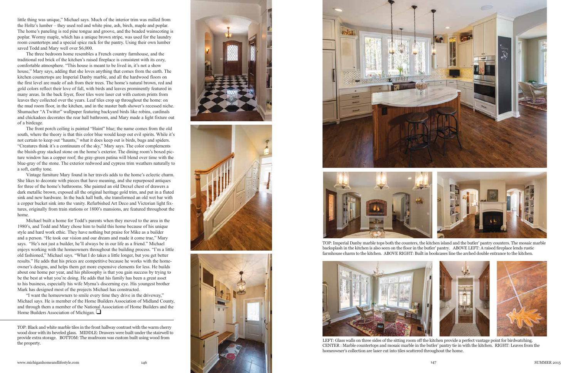little thing was unique," Michael says. Much of the interior trim was milled from the Holtz's lumber – they used red and white pine, ash, birch, maple and poplar. The home's paneling is red pine tongue and groove, and the beaded wainscoting is poplar. Wormy maple, which has a unique brown stripe, was used for the laundry room countertops and a special spice rack for the pantry. Using their own lumber saved Todd and Mary well over \$6,000.

The three bedroom home resembles a French country farmhouse, and the traditional red brick of the kitchen's raised fireplace is consistent with its cozy, comfortable atmosphere. "This house is meant to be lived in, it's not a show house," Mary says, adding that she loves anything that comes from the earth. The kitchen countertops are Imperial Danby marble, and all the hardwood floors on the first level are made of ash from their trees. The home's natural brown, red and gold colors reflect their love of fall, with birds and leaves prominently featured in many areas. In the back foyer, floor tiles were laser cut with custom prints from leaves they collected over the years. Leaf tiles crop up throughout the home: on the mud room floor, in the kitchen, and in the master bath shower's recessed niche. Shumacher "A Twitter" wallpaper featuring backyard birds like robins, cardinals and chickadees decorates the rear hall bathroom, and Mary made a light fixture out of a birdcage.

The front porch ceiling is painted "Haint" blue; the name comes from the old south, where the theory is that this color blue would keep out evil spirits. While it's not certain to keep out "haunts," what it does keep out is birds, bugs and spiders. "Creatures think it's a continuum of the sky," Mary says. The color complements the bluish-gray stacked stone on the home's exterior. The dining room's boxed pic ture window has a copper roof; the gray-green patina will blend over time with the blue-gray of the stone. The exterior redwood and cypress trim weathers naturally to a soft, earthy tone.

"I want the homeowners to smile every time they drive in the driveway," Michael says. He is member of the Home Builders Association of Midland County, and through them a member of the National Association of Home Builders and the Home Builders Association of Michigan.  $\Box$ 

Vintage furniture Mary found in her travels adds to the home's eclectic charm. She likes to decorate with pieces that have meaning, and she repurposed antiques for three of the home's bathrooms. She painted an old Drexel chest of drawers a dark metallic brown, exposed all the original heritage gold trim, and put in a fluted sink and new hardware. In the back hall bath, she transformed an old wet bar with a copper bucket sink into the vanity. Refurbished Art Deco and Victorian light fix tures, originally from train stations or 1800's mansions, are featured throughout the home.



The property.<br>The property. The mudroom was custom bunt using wood from the sitting ware for the sitting room of the kitchen provide a perfect vantage point for birdwatching.<br>CENTER Market vantage point for birdwatching. T CENTER : Marble countertops and mosaic marble in the butler' pantry tie in with the kitchen. RIGHT: Leaves from the homeowner's collection are laser cut into tiles scattered throughout the home.

Michael built a home for Todd's parents when they moved to the area in the 1980's, and Todd and Mary chose him to build this home because of his unique style and hard work ethic. They have nothing but praise for Mike as a builder and a person. "He took our vision and our dream and made it come true," Mary says. "He's not just a builder, he'll always be in our life as a friend." Michael enjoys working with the homeowners throughout the building process. "I'm a little old fashioned," Michael says. "What I do takes a little longer, but you get better results." He adds that his prices are competitive because he works with the homeowner's designs, and helps them get more expensive elements for less. He builds about one home per year, and his philosophy is that you gain success by trying to be the best at what you're doing. He adds that his family has been a great asset to his business, especially his wife Myrna's discerning eye. His youngest brother Mark has designed most of the projects Michael has constructed.



TOP: Imperial Danby marble tops both the counters, the kitchen island and the butler' pantry counters. The mosaic marble backsplash in the kitchen is also seen on the floor in the butler' pantry. ABOVE LEFT: A raised fireplace lends rustic farmhouse charm to the kitchen. ABOVE RIGHT: Built in bookcases line the arched double entrance to the kitchen.

TOP: Black and white marble tiles in the front hallway contrast with the warm cherry wood door with its beveled glass. MIDDLE: Drawers were built under the stairwell to provide extra storage. BOTTOM: The mudroom was custom built using wood from







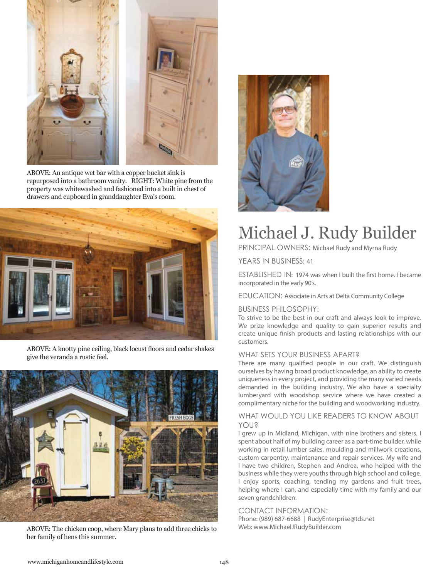

ABOVE: An antique wet bar with a copper bucket sink is repurposed into a bathroom vanity. RIGHT: White pine from the property was whitewashed and fashioned into a built in chest of drawers and cupboard in granddaughter Eva's room.



ABOVE: A knotty pine ceiling, black locust floors and cedar shakes give the veranda a rustic feel.



ABOVE: The chicken coop, where Mary plans to add three chicks to her family of hens this summer.



### Michael J. Rudy Builder

PRINCIPAL OWNERS: Michael Rudy and Myrna Rudy

YEARS IN BUSINESS: 41

ESTABLISHED IN: 1974 was when I built the first home. I became incorporated in the early 90's.

EDUCATION: Associate in Arts at Delta Community College

#### BUSINESS PHILOSOPHY:

To strive to be the best in our craft and always look to improve. We prize knowledge and quality to gain superior results and create unique finish products and lasting relationships with our customers.

#### WHAT SETS YOUR BUSINESS APART?

There are many qualified people in our craft. We distinguish ourselves by having broad product knowledge, an ability to create uniqueness in every project, and providing the many varied needs demanded in the building industry. We also have a specialty lumberyard with woodshop service where we have created a complimentary niche for the building and woodworking industry.

#### WHAT WOULD YOU LIKE READERS TO KNOW ABOUT YOU?

I grew up in Midland, Michigan, with nine brothers and sisters. I spent about half of my building career as a part-time builder, while working in retail lumber sales, moulding and millwork creations, custom carpentry, maintenance and repair services. My wife and I have two children, Stephen and Andrea, who helped with the business while they were youths through high school and college. I enjoy sports, coaching, tending my gardens and fruit trees, helping where I can, and especially time with my family and our seven grandchildren.

#### CONTACT INFORMATION:

Phone: (989) 687-6688 | RudyEnterprise@tds.net Web: www.MichaelJRudyBuilder.com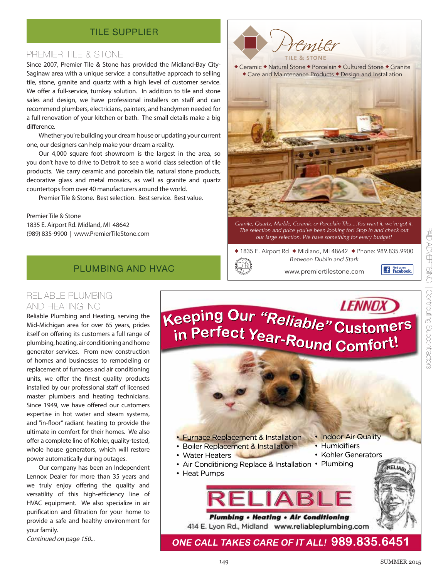#### TILE SUPPLIER

#### PREMIER TILE & STONE

Since 2007, Premier Tile & Stone has provided the Midland-Bay City-Saginaw area with a unique service: a consultative approach to selling tile, stone, granite and quartz with a high level of customer service. We offer a full-service, turnkey solution. In addition to tile and stone sales and design, we have professional installers on staff and can recommend plumbers, electricians, painters, and handymen needed for a full renovation of your kitchen or bath. The small details make a big difference.

Whether you're building your dream house or updating your current one, our designers can help make your dream a reality.

Our 4,000 square foot showroom is the largest in the area, so you don't have to drive to Detroit to see a world class selection of tile products. We carry ceramic and porcelain tile, natural stone products, decorative glass and metal mosaics, as well as granite and quartz countertops from over 40 manufacturers around the world.

Premier Tile & Stone. Best selection. Best service. Best value.

#### Premier Tile & Stone

1835 E. Airport Rd. Midland, MI 48642 (989) 835-9900 | www.PremierTileStone.com

#### PLUMBING AND HVAC

#### RELIABLE PLUMBING AND HEATING INC.

Reliable Plumbing and Heating, serving the Mid-Michigan area for over 65 years, prides itself on offering its customers a full range of plumbing, heating, air conditioning and home generator services. From new construction of homes and businesses to remodeling or replacement of furnaces and air conditioning units, we offer the finest quality products installed by our professional staff of licensed master plumbers and heating technicians. Since 1949, we have offered our customers expertise in hot water and steam systems, and "in-floor" radiant heating to provide the ultimate in comfort for their homes. We also offer a complete line of Kohler, quality-tested, whole house generators, which will restore power automatically during outages.

Our company has been an Independent Lennox Dealer for more than 35 years and we truly enjoy offering the quality and versatility of this high-efficiency line of HVAC equipment. We also specialize in air purification and filtration for your home to provide a safe and healthy environment for your family.

Continued on page 150...



◆ Ceramic ◆ Natural Stone ◆ Porcelain ◆ Cultured Stone ◆ Granite Care and Maintenance Products • Design and Installation



*Granite, Quartz, Marble, Ceramic or Porcelain Tiles....You want it, we've got it. The selection and price you've been looking for! Stop in and check out our large selection. We have something for every budget!*

 $*$  1835 E. Airport Rd  $*$  Midland, MI 48642  $*$  Phone: 989.835.9900 Between Dublin and Stark